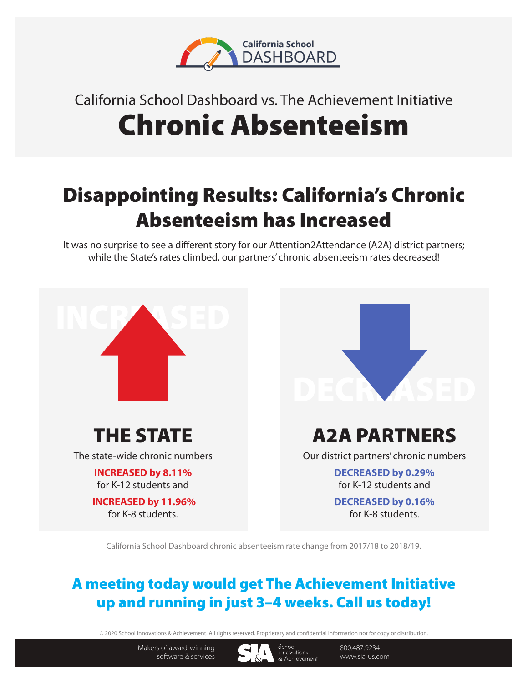

# California School Dashboard vs. The Achievement Initiative Chronic Absenteeism

## Disappointing Results: California's Chronic Absenteeism has Increased

It was no surprise to see a different story for our Attention2Attendance (A2A) district partners; while the State's rates climbed, our partners' chronic absenteeism rates decreased!



California School Dashboard chronic absenteeism rate change from 2017/18 to 2018/19.

## A meeting today would get The Achievement Initiative up and running in just 3–4 weeks. Call us today!

© 2020 School Innovations & Achievement. All rights reserved. Proprietary and condential information not for copy or distribution.

Makers of award-winning software & services



800.487.9234 www.sia-us.com